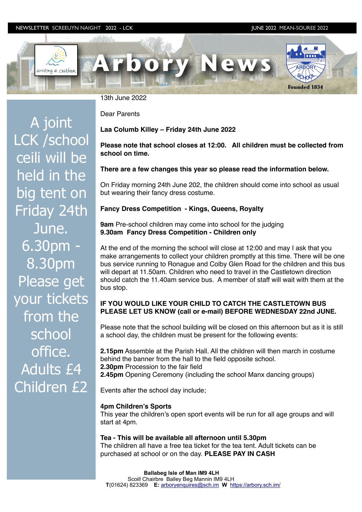### NEWSLETTER SCREEUYN NAIGHT 2022 - LCK JUNE 2022 MEAN-SOUREE 2022



13th June 2022

Dear Parents

**Laa Columb Killey – Friday 24th June 2022**

# **Please note that school closes at 12:00. All children must be collected from school on time.**

# **There are a few changes this year so please read the information below.**

On Friday morning 24th June 202, the children should come into school as usual but wearing their fancy dress costume.

## **Fancy Dress Competition - Kings, Queens, Royalty**

**9am** Pre-school children may come into school for the judging **9.30am Fancy Dress Competition - Children only**

At the end of the morning the school will close at 12:00 and may I ask that you make arrangements to collect your children promptly at this time. There will be one bus service running to Ronague and Colby Glen Road for the children and this bus will depart at 11.50am. Children who need to travel in the Castletown direction should catch the 11.40am service bus. A member of staff will wait with them at the bus stop.

# **IF YOU WOULD LIKE YOUR CHILD TO CATCH THE CASTLETOWN BUS PLEASE LET US KNOW (call or e-mail) BEFORE WEDNESDAY 22nd JUNE.**

Please note that the school building will be closed on this afternoon but as it is still a school day, the children must be present for the following events:

**2.15pm** Assemble at the Parish Hall. All the children will then march in costume behind the banner from the hall to the field opposite school. **2.30pm** Procession to the fair field **2.45pm** Opening Ceremony (including the school Manx dancing groups)

Events after the school day include;

### **4pm Children's Sports**

This year the children's open sport events will be run for all age groups and will start at 4pm.

### **Tea - This will be available all afternoon until 5.30pm**

The children all have a free tea ticket for the tea tent. Adult tickets can be purchased at school or on the day. **PLEASE PAY IN CASH**

A joint LCK /school ceili will be held in the big tent on Friday 24th June. 6.30pm - 8.30pm Please get your tickets from the school office. Adults £4 Children £2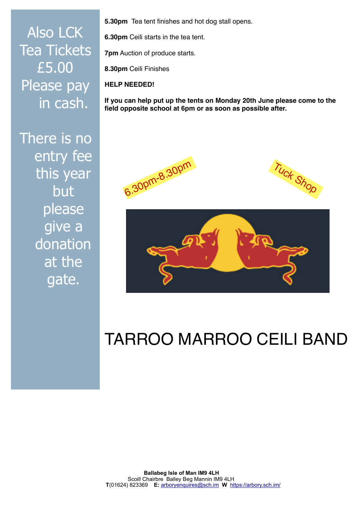Also LCK Tea Tickets £5.00 Please pay in cash.

There is no entry fee this year but please give a donation at the gate.

**5.30pm** Tea tent finishes and hot dog stall opens.

**6.30pm** Ceili starts in the tea tent.

**7pm** Auction of produce starts.

**8.30pm** Ceili Finishes

**HELP NEEDED!**

**If you can help put up the tents on Monday 20th June please come to the field opposite school at 6pm or as soon as possible after.**



# TARROO MARROO CEILI BAND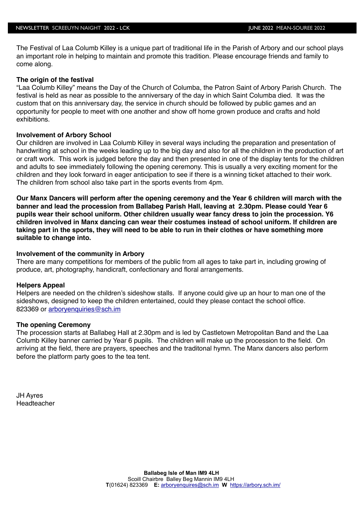The Festival of Laa Columb Killey is a unique part of traditional life in the Parish of Arbory and our school plays an important role in helping to maintain and promote this tradition. Please encourage friends and family to come along.

## **The origin of the festival**

"Laa Columb Killey" means the Day of the Church of Columba, the Patron Saint of Arbory Parish Church. The festival is held as near as possible to the anniversary of the day in which Saint Columba died. It was the custom that on this anniversary day, the service in church should be followed by public games and an opportunity for people to meet with one another and show off home grown produce and crafts and hold exhibitions.

## **Involvement of Arbory School**

Our children are involved in Laa Columb Killey in several ways including the preparation and presentation of handwriting at school in the weeks leading up to the big day and also for all the children in the production of art or craft work. This work is judged before the day and then presented in one of the display tents for the children and adults to see immediately following the opening ceremony. This is usually a very exciting moment for the children and they look forward in eager anticipation to see if there is a winning ticket attached to their work. The children from school also take part in the sports events from 4pm.

**Our Manx Dancers will perform after the opening ceremony and the Year 6 children will march with the banner and lead the procession from Ballabeg Parish Hall, leaving at 2.30pm. Please could Year 6 pupils wear their school uniform. Other children usually wear fancy dress to join the procession. Y6 children involved in Manx dancing can wear their costumes instead of school uniform. If children are taking part in the sports, they will need to be able to run in their clothes or have something more suitable to change into.**

## **Involvement of the community in Arbory**

There are many competitions for members of the public from all ages to take part in, including growing of produce, art, photography, handicraft, confectionary and floral arrangements.

### **Helpers Appeal**

Helpers are needed on the children's sideshow stalls. If anyone could give up an hour to man one of the sideshows, designed to keep the children entertained, could they please contact the school office. 823369 or [arboryenquiries@sch.im](mailto:arboryenquiries@sch.im)

## **The opening Ceremony**

The procession starts at Ballabeg Hall at 2.30pm and is led by Castletown Metropolitan Band and the Laa Columb Killey banner carried by Year 6 pupils. The children will make up the procession to the field. On arriving at the field, there are prayers, speeches and the traditonal hymn. The Manx dancers also perform before the platform party goes to the tea tent.

JH Ayres Headteacher